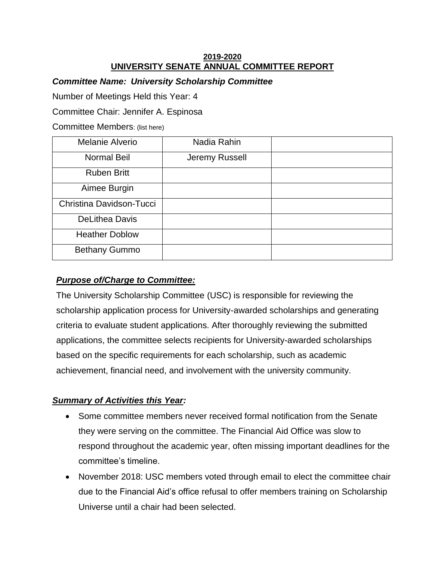#### **2019-2020 UNIVERSITY SENATE ANNUAL COMMITTEE REPORT**

## *Committee Name: University Scholarship Committee*

Number of Meetings Held this Year: 4

Committee Chair: Jennifer A. Espinosa

Committee Members: (list here)

| Melanie Alverio          | Nadia Rahin    |  |
|--------------------------|----------------|--|
| <b>Normal Beil</b>       | Jeremy Russell |  |
| <b>Ruben Britt</b>       |                |  |
| Aimee Burgin             |                |  |
| Christina Davidson-Tucci |                |  |
| <b>DeLithea Davis</b>    |                |  |
| <b>Heather Doblow</b>    |                |  |
| <b>Bethany Gummo</b>     |                |  |

# *Purpose of/Charge to Committee:*

The University Scholarship Committee (USC) is responsible for reviewing the scholarship application process for University-awarded scholarships and generating criteria to evaluate student applications. After thoroughly reviewing the submitted applications, the committee selects recipients for University-awarded scholarships based on the specific requirements for each scholarship, such as academic achievement, financial need, and involvement with the university community.

## *Summary of Activities this Year:*

- Some committee members never received formal notification from the Senate they were serving on the committee. The Financial Aid Office was slow to respond throughout the academic year, often missing important deadlines for the committee's timeline.
- November 2018: USC members voted through email to elect the committee chair due to the Financial Aid's office refusal to offer members training on Scholarship Universe until a chair had been selected.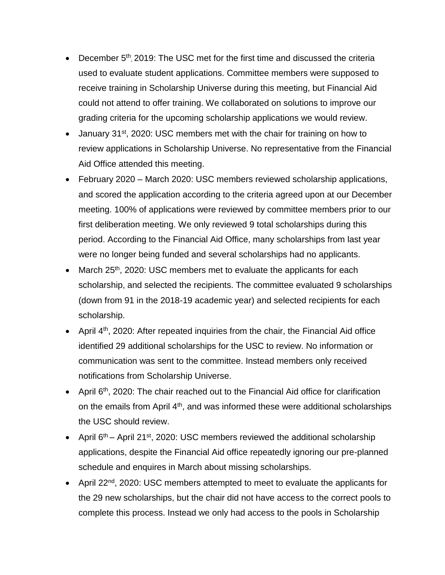- December 5<sup>th</sup>, 2019: The USC met for the first time and discussed the criteria used to evaluate student applications. Committee members were supposed to receive training in Scholarship Universe during this meeting, but Financial Aid could not attend to offer training. We collaborated on solutions to improve our grading criteria for the upcoming scholarship applications we would review.
- January 31<sup>st</sup>, 2020: USC members met with the chair for training on how to review applications in Scholarship Universe. No representative from the Financial Aid Office attended this meeting.
- February 2020 March 2020: USC members reviewed scholarship applications, and scored the application according to the criteria agreed upon at our December meeting. 100% of applications were reviewed by committee members prior to our first deliberation meeting. We only reviewed 9 total scholarships during this period. According to the Financial Aid Office, many scholarships from last year were no longer being funded and several scholarships had no applicants.
- $\bullet$  March 25<sup>th</sup>, 2020: USC members met to evaluate the applicants for each scholarship, and selected the recipients. The committee evaluated 9 scholarships (down from 91 in the 2018-19 academic year) and selected recipients for each scholarship.
- April  $4<sup>th</sup>$ , 2020: After repeated inquiries from the chair, the Financial Aid office identified 29 additional scholarships for the USC to review. No information or communication was sent to the committee. Instead members only received notifications from Scholarship Universe.
- April 6<sup>th</sup>, 2020: The chair reached out to the Financial Aid office for clarification on the emails from April  $4<sup>th</sup>$ , and was informed these were additional scholarships the USC should review.
- April  $6<sup>th</sup>$  April 21<sup>st</sup>, 2020: USC members reviewed the additional scholarship applications, despite the Financial Aid office repeatedly ignoring our pre-planned schedule and enquires in March about missing scholarships.
- April 22<sup>nd</sup>, 2020: USC members attempted to meet to evaluate the applicants for the 29 new scholarships, but the chair did not have access to the correct pools to complete this process. Instead we only had access to the pools in Scholarship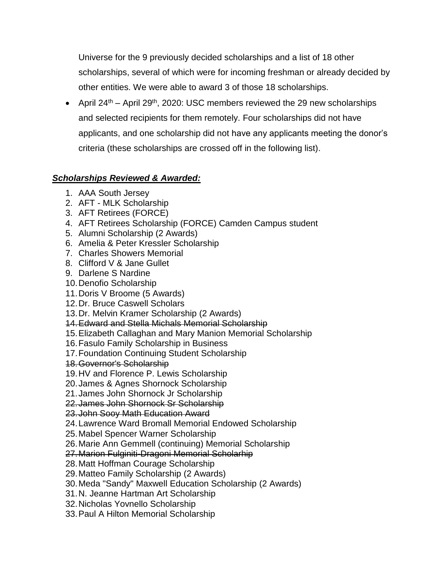Universe for the 9 previously decided scholarships and a list of 18 other scholarships, several of which were for incoming freshman or already decided by other entities. We were able to award 3 of those 18 scholarships.

• April  $24<sup>th</sup>$  – April 29<sup>th</sup>, 2020: USC members reviewed the 29 new scholarships and selected recipients for them remotely. Four scholarships did not have applicants, and one scholarship did not have any applicants meeting the donor's criteria (these scholarships are crossed off in the following list).

# *Scholarships Reviewed & Awarded:*

- 1. AAA South Jersey
- 2. AFT MLK Scholarship
- 3. AFT Retirees (FORCE)
- 4. AFT Retirees Scholarship (FORCE) Camden Campus student
- 5. Alumni Scholarship (2 Awards)
- 6. Amelia & Peter Kressler Scholarship
- 7. Charles Showers Memorial
- 8. Clifford V & Jane Gullet
- 9. Darlene S Nardine
- 10.Denofio Scholarship
- 11.Doris V Broome (5 Awards)
- 12.Dr. Bruce Caswell Scholars
- 13.Dr. Melvin Kramer Scholarship (2 Awards)
- 14.Edward and Stella Michals Memorial Scholarship
- 15.Elizabeth Callaghan and Mary Manion Memorial Scholarship
- 16.Fasulo Family Scholarship in Business
- 17.Foundation Continuing Student Scholarship
- 18.Governor's Scholarship
- 19.HV and Florence P. Lewis Scholarship
- 20.James & Agnes Shornock Scholarship
- 21.James John Shornock Jr Scholarship
- 22.James John Shornock Sr Scholarship

23.John Sooy Math Education Award

- 24.Lawrence Ward Bromall Memorial Endowed Scholarship
- 25.Mabel Spencer Warner Scholarship
- 26.Marie Ann Gemmell (continuing) Memorial Scholarship
- 27.Marion Fulginiti-Dragoni Memorial Scholarhip
- 28.Matt Hoffman Courage Scholarship
- 29.Matteo Family Scholarship (2 Awards)
- 30.Meda "Sandy" Maxwell Education Scholarship (2 Awards)
- 31.N. Jeanne Hartman Art Scholarship
- 32.Nicholas Yovnello Scholarship
- 33.Paul A Hilton Memorial Scholarship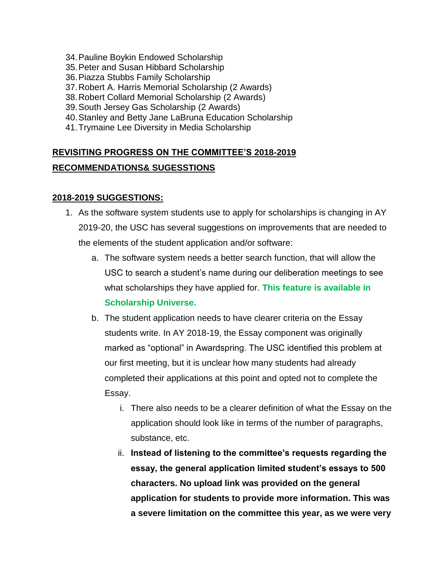- 34.Pauline Boykin Endowed Scholarship
- 35.Peter and Susan Hibbard Scholarship
- 36.Piazza Stubbs Family Scholarship
- 37.Robert A. Harris Memorial Scholarship (2 Awards)
- 38.Robert Collard Memorial Scholarship (2 Awards)
- 39.South Jersey Gas Scholarship (2 Awards)
- 40.Stanley and Betty Jane LaBruna Education Scholarship
- 41.Trymaine Lee Diversity in Media Scholarship

# **REVISITING PROGRESS ON THE COMMITTEE'S 2018-2019 RECOMMENDATIONS& SUGESSTIONS**

## **2018-2019 SUGGESTIONS:**

- 1. As the software system students use to apply for scholarships is changing in AY 2019-20, the USC has several suggestions on improvements that are needed to the elements of the student application and/or software:
	- a. The software system needs a better search function, that will allow the USC to search a student's name during our deliberation meetings to see what scholarships they have applied for. **This feature is available in Scholarship Universe.**
	- b. The student application needs to have clearer criteria on the Essay students write. In AY 2018-19, the Essay component was originally marked as "optional" in Awardspring. The USC identified this problem at our first meeting, but it is unclear how many students had already completed their applications at this point and opted not to complete the Essay.
		- i. There also needs to be a clearer definition of what the Essay on the application should look like in terms of the number of paragraphs, substance, etc.
		- ii. **Instead of listening to the committee's requests regarding the essay, the general application limited student's essays to 500 characters. No upload link was provided on the general application for students to provide more information. This was a severe limitation on the committee this year, as we were very**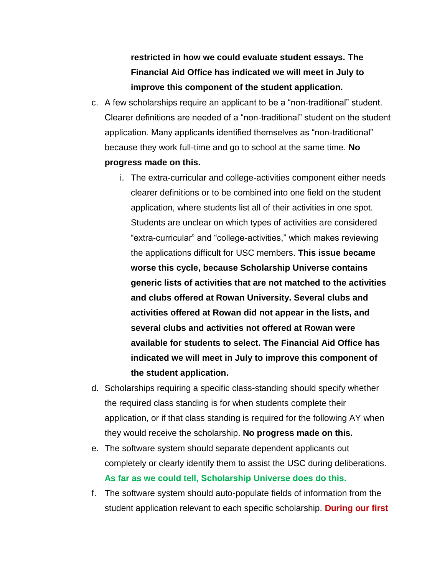**restricted in how we could evaluate student essays. The Financial Aid Office has indicated we will meet in July to improve this component of the student application.** 

- c. A few scholarships require an applicant to be a "non-traditional" student. Clearer definitions are needed of a "non-traditional" student on the student application. Many applicants identified themselves as "non-traditional" because they work full-time and go to school at the same time. **No progress made on this.** 
	- i. The extra-curricular and college-activities component either needs clearer definitions or to be combined into one field on the student application, where students list all of their activities in one spot. Students are unclear on which types of activities are considered "extra-curricular" and "college-activities," which makes reviewing the applications difficult for USC members. **This issue became worse this cycle, because Scholarship Universe contains generic lists of activities that are not matched to the activities and clubs offered at Rowan University. Several clubs and activities offered at Rowan did not appear in the lists, and several clubs and activities not offered at Rowan were available for students to select. The Financial Aid Office has indicated we will meet in July to improve this component of the student application.**
- d. Scholarships requiring a specific class-standing should specify whether the required class standing is for when students complete their application, or if that class standing is required for the following AY when they would receive the scholarship. **No progress made on this.**
- e. The software system should separate dependent applicants out completely or clearly identify them to assist the USC during deliberations. **As far as we could tell, Scholarship Universe does do this.**
- f. The software system should auto-populate fields of information from the student application relevant to each specific scholarship. **During our first**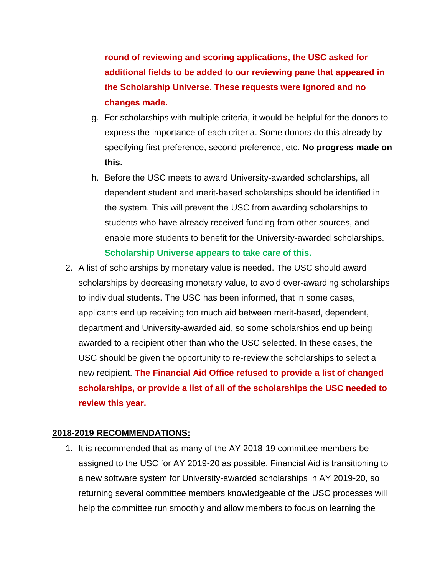**round of reviewing and scoring applications, the USC asked for additional fields to be added to our reviewing pane that appeared in the Scholarship Universe. These requests were ignored and no changes made.** 

- g. For scholarships with multiple criteria, it would be helpful for the donors to express the importance of each criteria. Some donors do this already by specifying first preference, second preference, etc. **No progress made on this.**
- h. Before the USC meets to award University-awarded scholarships, all dependent student and merit-based scholarships should be identified in the system. This will prevent the USC from awarding scholarships to students who have already received funding from other sources, and enable more students to benefit for the University-awarded scholarships. **Scholarship Universe appears to take care of this.**
- 2. A list of scholarships by monetary value is needed. The USC should award scholarships by decreasing monetary value, to avoid over-awarding scholarships to individual students. The USC has been informed, that in some cases, applicants end up receiving too much aid between merit-based, dependent, department and University-awarded aid, so some scholarships end up being awarded to a recipient other than who the USC selected. In these cases, the USC should be given the opportunity to re-review the scholarships to select a new recipient. **The Financial Aid Office refused to provide a list of changed scholarships, or provide a list of all of the scholarships the USC needed to review this year.**

## **2018-2019 RECOMMENDATIONS:**

1. It is recommended that as many of the AY 2018-19 committee members be assigned to the USC for AY 2019-20 as possible. Financial Aid is transitioning to a new software system for University-awarded scholarships in AY 2019-20, so returning several committee members knowledgeable of the USC processes will help the committee run smoothly and allow members to focus on learning the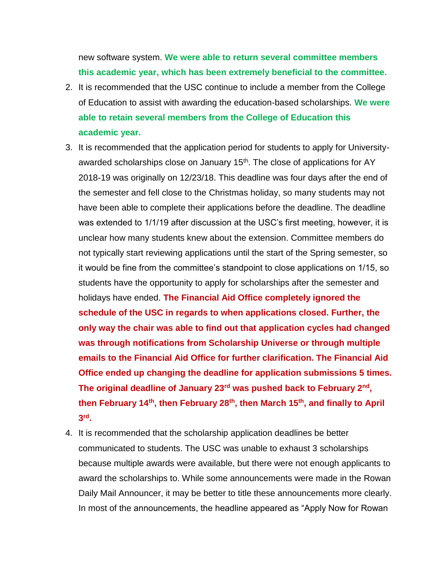new software system. **We were able to return several committee members this academic year, which has been extremely beneficial to the committee.** 

- 2. It is recommended that the USC continue to include a member from the College of Education to assist with awarding the education-based scholarships. **We were able to retain several members from the College of Education this academic year.**
- 3. It is recommended that the application period for students to apply for Universityawarded scholarships close on January 15<sup>th</sup>. The close of applications for AY 2018-19 was originally on 12/23/18. This deadline was four days after the end of the semester and fell close to the Christmas holiday, so many students may not have been able to complete their applications before the deadline. The deadline was extended to 1/1/19 after discussion at the USC's first meeting, however, it is unclear how many students knew about the extension. Committee members do not typically start reviewing applications until the start of the Spring semester, so it would be fine from the committee's standpoint to close applications on 1/15, so students have the opportunity to apply for scholarships after the semester and holidays have ended. **The Financial Aid Office completely ignored the schedule of the USC in regards to when applications closed. Further, the only way the chair was able to find out that application cycles had changed was through notifications from Scholarship Universe or through multiple emails to the Financial Aid Office for further clarification. The Financial Aid Office ended up changing the deadline for application submissions 5 times. The original deadline of January 23rd was pushed back to February 2nd , then February 14th, then February 28th, then March 15th, and finally to April 3 rd .**
- 4. It is recommended that the scholarship application deadlines be better communicated to students. The USC was unable to exhaust 3 scholarships because multiple awards were available, but there were not enough applicants to award the scholarships to. While some announcements were made in the Rowan Daily Mail Announcer, it may be better to title these announcements more clearly. In most of the announcements, the headline appeared as "Apply Now for Rowan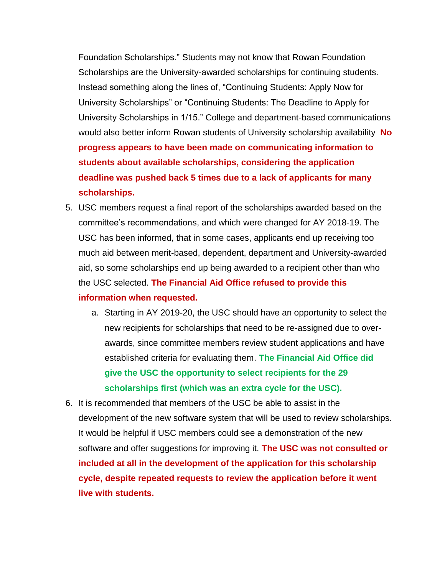Foundation Scholarships." Students may not know that Rowan Foundation Scholarships are the University-awarded scholarships for continuing students. Instead something along the lines of, "Continuing Students: Apply Now for University Scholarships" or "Continuing Students: The Deadline to Apply for University Scholarships in 1/15." College and department-based communications would also better inform Rowan students of University scholarship availability **No progress appears to have been made on communicating information to students about available scholarships, considering the application deadline was pushed back 5 times due to a lack of applicants for many scholarships.** 

- 5. USC members request a final report of the scholarships awarded based on the committee's recommendations, and which were changed for AY 2018-19. The USC has been informed, that in some cases, applicants end up receiving too much aid between merit-based, dependent, department and University-awarded aid, so some scholarships end up being awarded to a recipient other than who the USC selected. **The Financial Aid Office refused to provide this information when requested.** 
	- a. Starting in AY 2019-20, the USC should have an opportunity to select the new recipients for scholarships that need to be re-assigned due to overawards, since committee members review student applications and have established criteria for evaluating them. **The Financial Aid Office did give the USC the opportunity to select recipients for the 29 scholarships first (which was an extra cycle for the USC).**
- 6. It is recommended that members of the USC be able to assist in the development of the new software system that will be used to review scholarships. It would be helpful if USC members could see a demonstration of the new software and offer suggestions for improving it. **The USC was not consulted or included at all in the development of the application for this scholarship cycle, despite repeated requests to review the application before it went live with students.**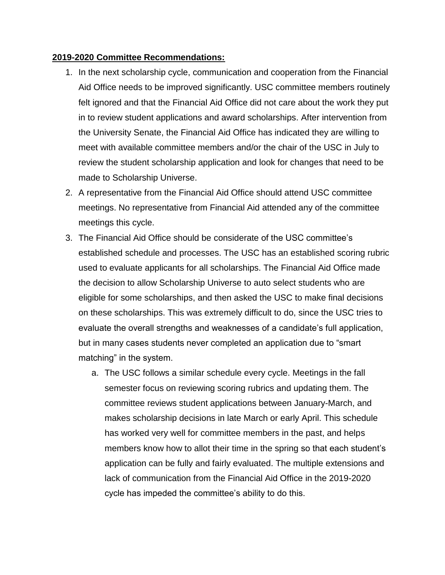#### **2019-2020 Committee Recommendations:**

- 1. In the next scholarship cycle, communication and cooperation from the Financial Aid Office needs to be improved significantly. USC committee members routinely felt ignored and that the Financial Aid Office did not care about the work they put in to review student applications and award scholarships. After intervention from the University Senate, the Financial Aid Office has indicated they are willing to meet with available committee members and/or the chair of the USC in July to review the student scholarship application and look for changes that need to be made to Scholarship Universe.
- 2. A representative from the Financial Aid Office should attend USC committee meetings. No representative from Financial Aid attended any of the committee meetings this cycle.
- 3. The Financial Aid Office should be considerate of the USC committee's established schedule and processes. The USC has an established scoring rubric used to evaluate applicants for all scholarships. The Financial Aid Office made the decision to allow Scholarship Universe to auto select students who are eligible for some scholarships, and then asked the USC to make final decisions on these scholarships. This was extremely difficult to do, since the USC tries to evaluate the overall strengths and weaknesses of a candidate's full application, but in many cases students never completed an application due to "smart matching" in the system.
	- a. The USC follows a similar schedule every cycle. Meetings in the fall semester focus on reviewing scoring rubrics and updating them. The committee reviews student applications between January-March, and makes scholarship decisions in late March or early April. This schedule has worked very well for committee members in the past, and helps members know how to allot their time in the spring so that each student's application can be fully and fairly evaluated. The multiple extensions and lack of communication from the Financial Aid Office in the 2019-2020 cycle has impeded the committee's ability to do this.